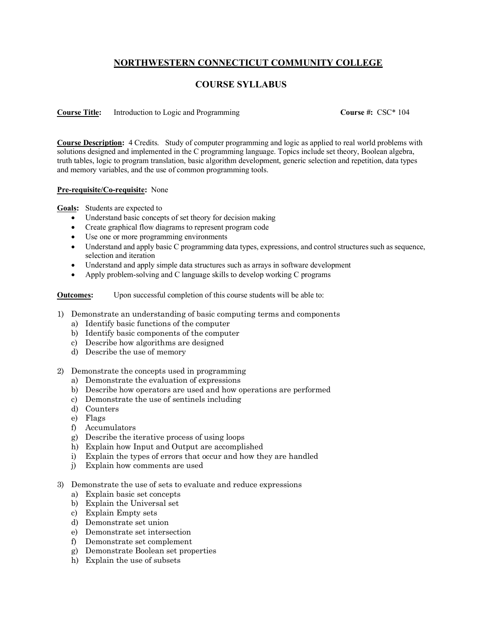## **NORTHWESTERN CONNECTICUT COMMUNITY COLLEGE**

## **COURSE SYLLABUS**

**Course Title:** Introduction to Logic and Programming **Course #:** CSC\* 104

**Course Description:** 4 Credits. Study of computer programming and logic as applied to real world problems with solutions designed and implemented in the C programming language. Topics include set theory, Boolean algebra, truth tables, logic to program translation, basic algorithm development, generic selection and repetition, data types and memory variables, and the use of common programming tools.

## **Pre-requisite/Co-requisite:** None

**Goals:** Students are expected to

- Understand basic concepts of set theory for decision making
- Create graphical flow diagrams to represent program code
- Use one or more programming environments
- Understand and apply basic C programming data types, expressions, and control structures such as sequence, selection and iteration
- Understand and apply simple data structures such as arrays in software development
- Apply problem-solving and C language skills to develop working C programs
- **Outcomes:** Upon successful completion of this course students will be able to:
- 1) Demonstrate an understanding of basic computing terms and components
	- a) Identify basic functions of the computer
	- b) Identify basic components of the computer
	- c) Describe how algorithms are designed
	- d) Describe the use of memory
- 2) Demonstrate the concepts used in programming
	- a) Demonstrate the evaluation of expressions
	- b) Describe how operators are used and how operations are performed
	- c) Demonstrate the use of sentinels including
	- d) Counters
	- e) Flags
	- f) Accumulators
	- g) Describe the iterative process of using loops
	- h) Explain how Input and Output are accomplished
	- i) Explain the types of errors that occur and how they are handled
	- j) Explain how comments are used
- 3) Demonstrate the use of sets to evaluate and reduce expressions
	- a) Explain basic set concepts
	- b) Explain the Universal set
	- c) Explain Empty sets
	- d) Demonstrate set union
	- e) Demonstrate set intersection
	- f) Demonstrate set complement
	- g) Demonstrate Boolean set properties
	- h) Explain the use of subsets